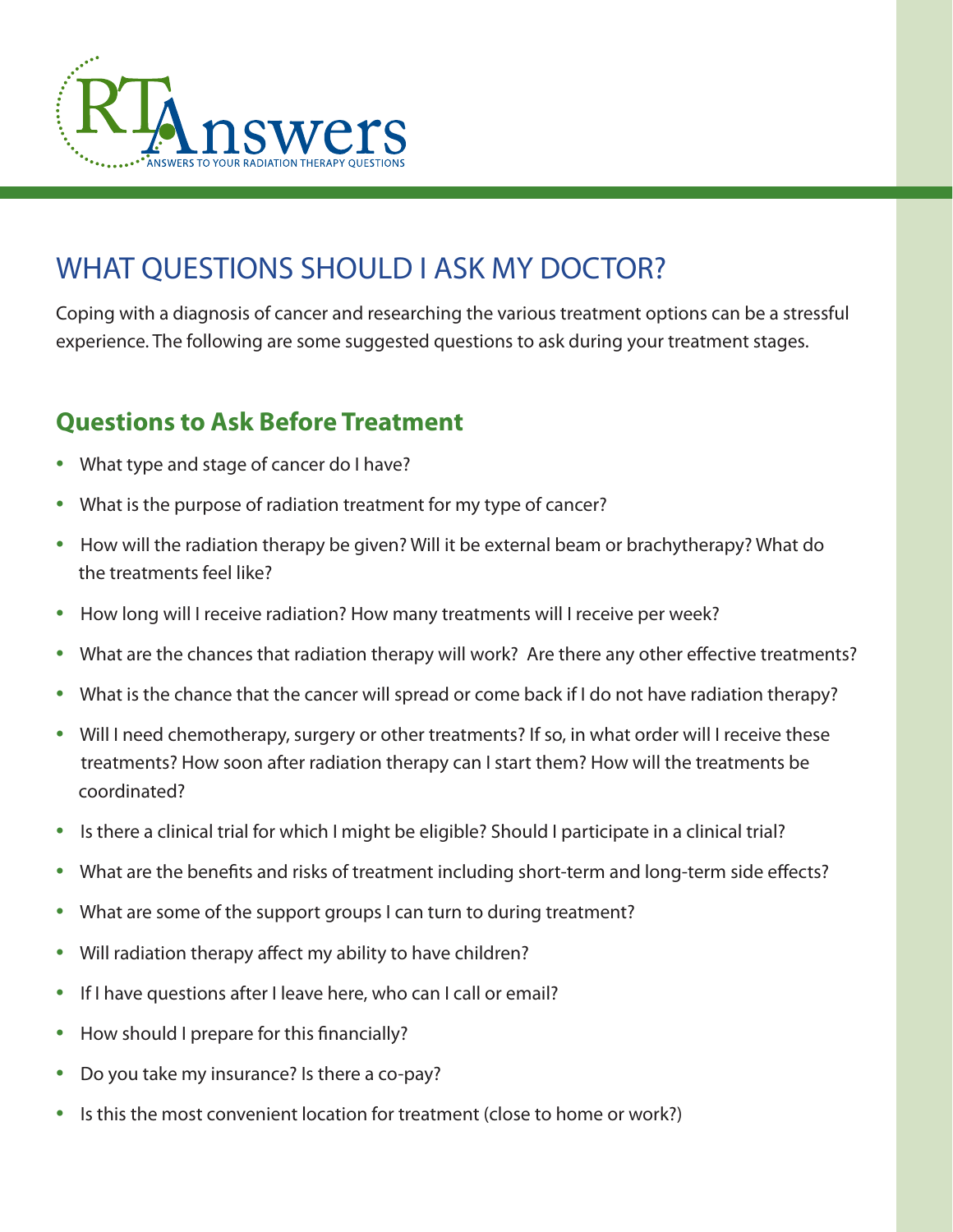

# WHAT QUESTIONS SHOULD I ASK MY DOCTOR?

Coping with a diagnosis of cancer and researching the various treatment options can be a stressful experience. The following are some suggested questions to ask during your treatment stages.

## **Questions to Ask Before Treatment**

- What type and stage of cancer do I have?
- What is the purpose of radiation treatment for my type of cancer?
- How will the radiation therapy be given? Will it be external beam or brachytherapy? What do the treatments feel like?
- How long will I receive radiation? How many treatments will I receive per week?
- What are the chances that radiation therapy will work? Are there any other effective treatments?
- What is the chance that the cancer will spread or come back if I do not have radiation therapy?
- Will I need chemotherapy, surgery or other treatments? If so, in what order will I receive these treatments? How soon after radiation therapy can I start them? How will the treatments be coordinated?
- Is there a clinical trial for which I might be eligible? Should I participate in a clinical trial?
- What are the benefits and risks of treatment including short-term and long-term side effects?
- What are some of the support groups I can turn to during treatment?
- Will radiation therapy affect my ability to have children?
- If I have questions after I leave here, who can I call or email?
- How should I prepare for this financially?
- Do you take my insurance? Is there a co-pay?
- Is this the most convenient location for treatment (close to home or work?)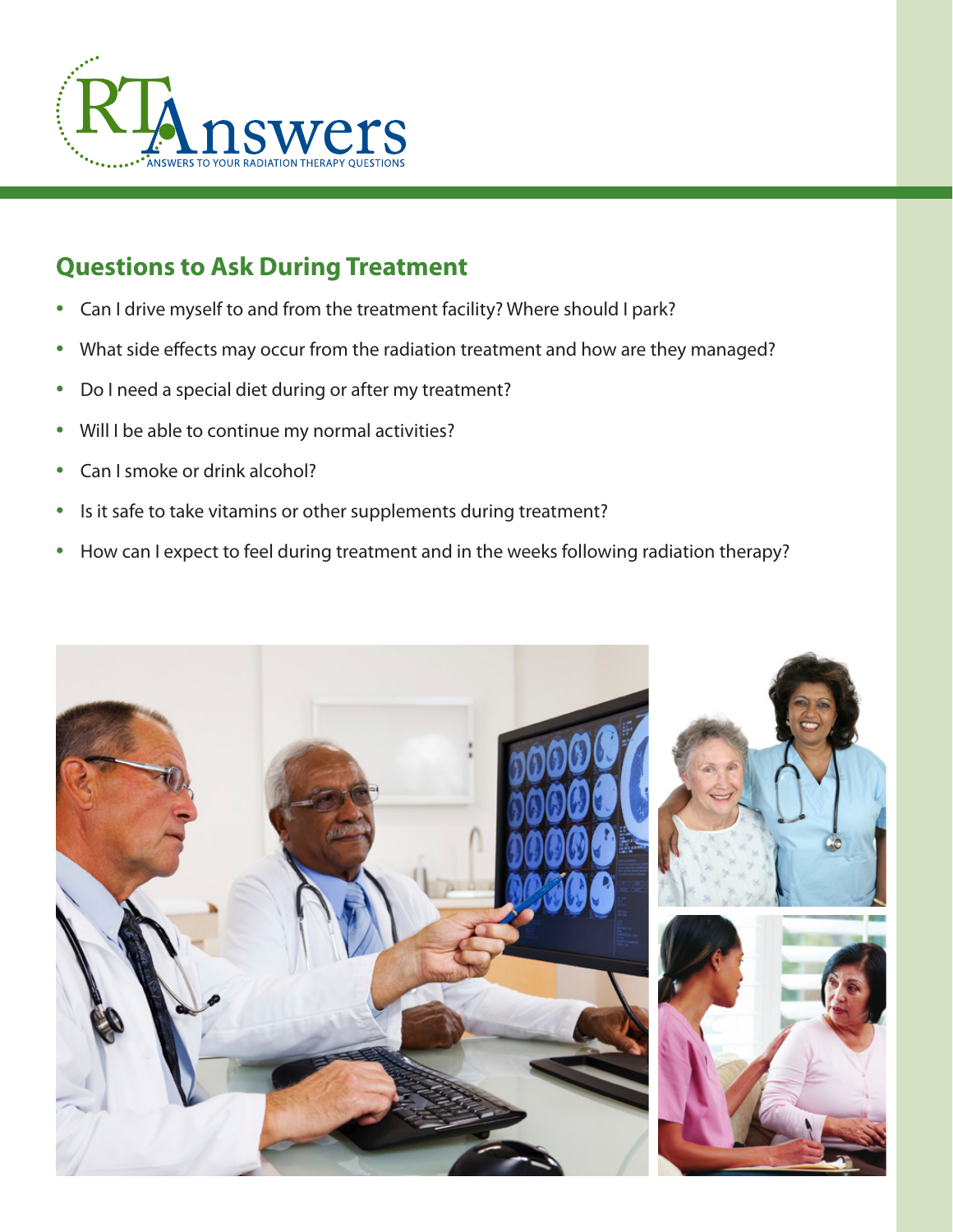

## **Questions to Ask During Treatment**

- Can I drive myself to and from the treatment facility? Where should I park?
- What side effects may occur from the radiation treatment and how are they managed?
- Do I need a special diet during or after my treatment?
- Will I be able to continue my normal activities?
- Can I smoke or drink alcohol?
- Is it safe to take vitamins or other supplements during treatment?
- How can I expect to feel during treatment and in the weeks following radiation therapy?

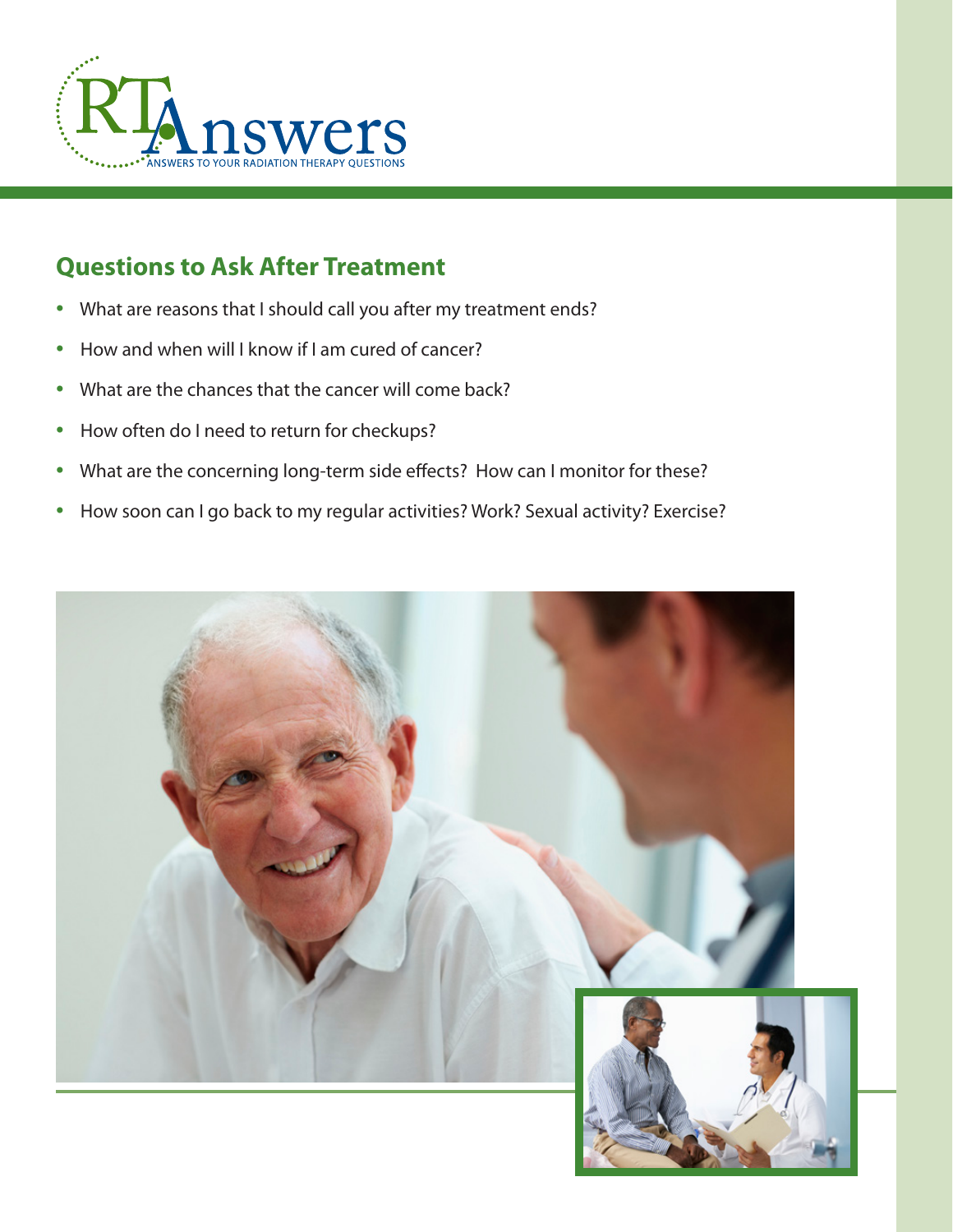

# **Questions to Ask After Treatment**

- What are reasons that I should call you after my treatment ends?
- How and when will I know if I am cured of cancer?
- What are the chances that the cancer will come back?
- How often do I need to return for checkups?
- What are the concerning long-term side effects? How can I monitor for these?
- How soon can I go back to my regular activities? Work? Sexual activity? Exercise?

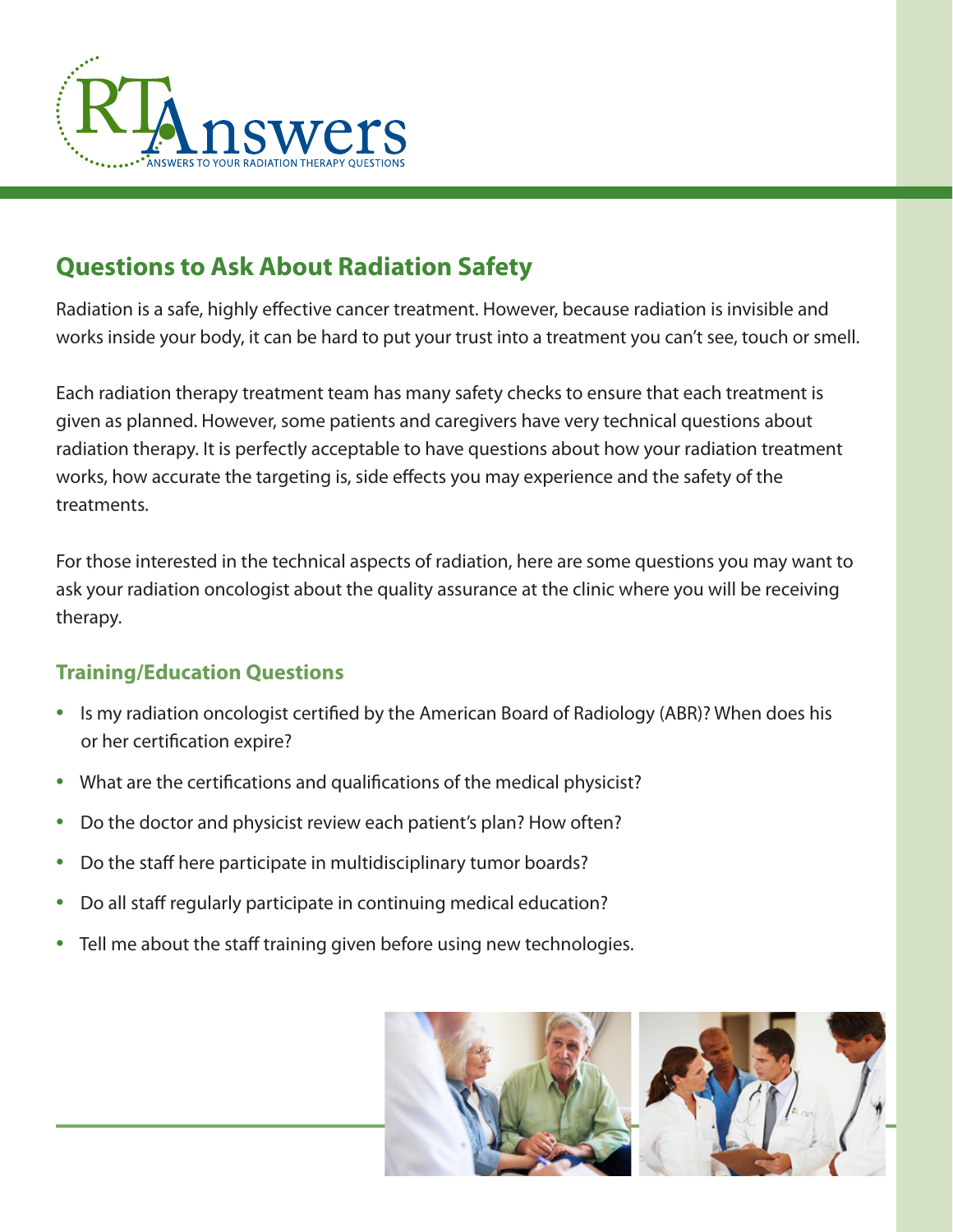

# **Questions to Ask About Radiation Safety**

Radiation is a safe, highly effective cancer treatment. However, because radiation is invisible and works inside your body, it can be hard to put your trust into a treatment you can't see, touch or smell.

Each radiation therapy treatment team has many safety checks to ensure that each treatment is given as planned. However, some patients and caregivers have very technical questions about radiation therapy. It is perfectly acceptable to have questions about how your radiation treatment works, how accurate the targeting is, side effects you may experience and the safety of the treatments.

For those interested in the technical aspects of radiation, here are some questions you may want to ask your radiation oncologist about the quality assurance at the clinic where you will be receiving therapy.

### **Training/Education Questions**

- Is my radiation oncologist certified by the American Board of Radiology (ABR)? When does his or her certification expire?
- What are the certifications and qualifications of the medical physicist?
- Do the doctor and physicist review each patient's plan? How often?
- Do the staff here participate in multidisciplinary tumor boards?
- Do all staff regularly participate in continuing medical education?
- Tell me about the staff training given before using new technologies.